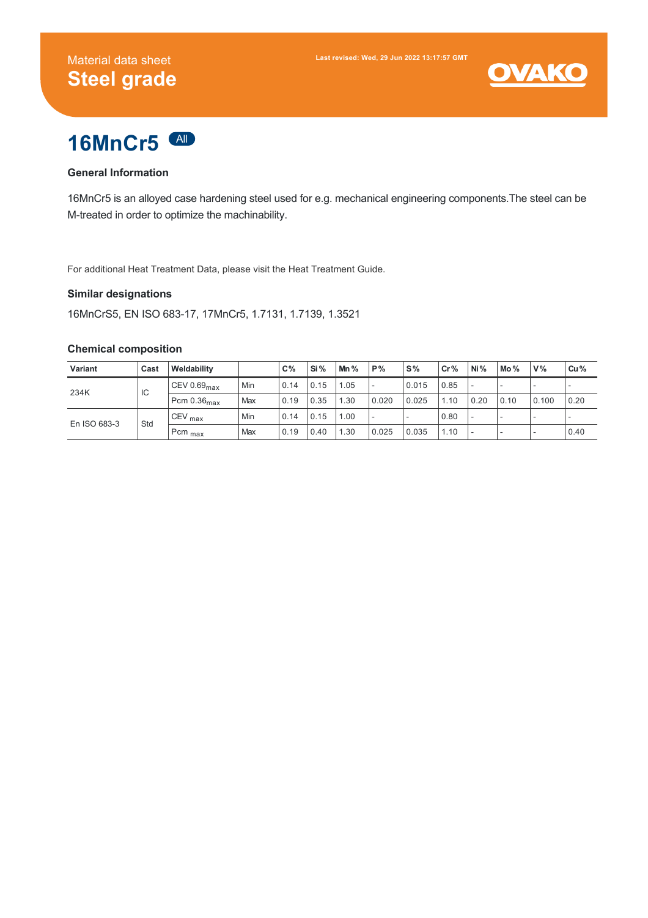



### **General Information**

16MnCr5 is an alloyed case hardening steel used for e.g. mechanical engineering components.The steel can be M-treated in order to optimize the machinability.

For additional Heat Treatment Data, please visit the Heat Treatment Guide.

### **Similar designations**

16MnCrS5, EN ISO 683-17, 17MnCr5, 1.7131, 1.7139, 1.3521

#### **Chemical composition**

| Variant      | Cast | Weldability              |     | $C\%$ | Si%  | $Mn\%$ | P%    | 'S%   | Cr%  | Ni%                      | Mo%                      | V%    | Cu%  |
|--------------|------|--------------------------|-----|-------|------|--------|-------|-------|------|--------------------------|--------------------------|-------|------|
| 234K         | IC   | CEV 0.69 $_{\text{max}}$ | Min | 0.14  | 0.15 | .05    |       | 0.015 | 0.85 |                          | $\overline{\phantom{a}}$ |       |      |
|              |      | Pcm $0.36_{\text{max}}$  | Max | 0.19  | 0.35 | .30    | 0.020 | 0.025 | 1.10 | 0.20                     | 0.10                     | 0.100 | 0.20 |
| En ISO 683-3 | Std  | $CEV_{max}$              | Min | 0.14  | 0.15 | .00    |       |       | 0.80 |                          | -                        |       |      |
|              |      | Pcm <sub>max</sub>       | Max | 0.19  | 0.40 | .30    | 0.025 | 0.035 | 1.10 | $\overline{\phantom{a}}$ | $\overline{\phantom{a}}$ |       | 0.40 |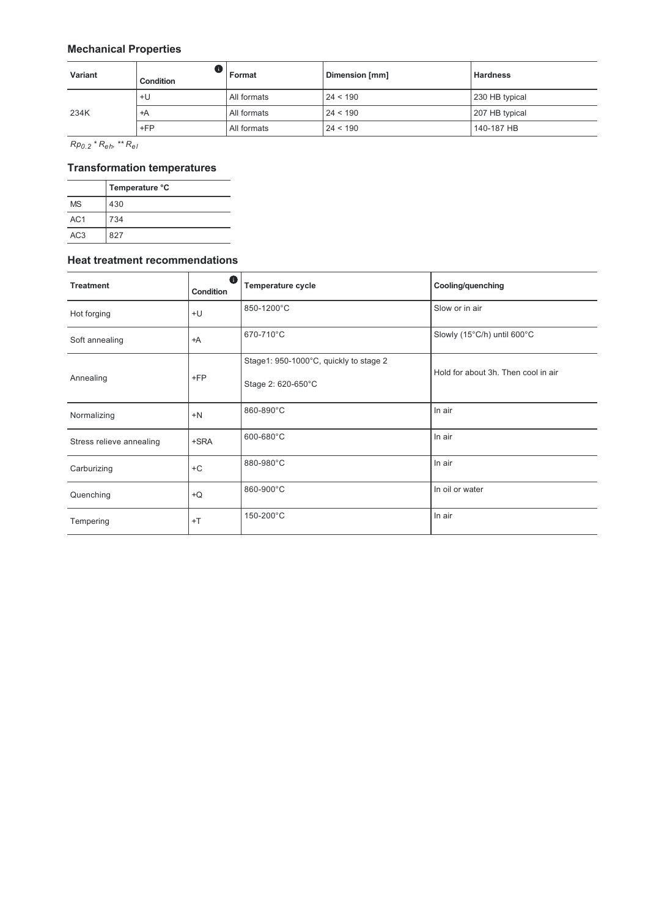# **Mechanical Properties**

| <b>Variant</b> | Condition | Format      | Dimension [mm] | <b>Hardness</b> |
|----------------|-----------|-------------|----------------|-----------------|
| 234K           | +U        | All formats | 24 < 190       | 230 HB typical  |
|                | ≒ ∸A      | All formats | 24 < 190       | 207 HB typical  |
|                | $+FP$     | All formats | 24 < 190       | 140-187 HB      |

*Rp \* R , \*\* R 0.2 eh el*

# **Transformation temperatures**

|                 | Temperature °C |  |  |  |
|-----------------|----------------|--|--|--|
| <b>MS</b>       | 430            |  |  |  |
| AC <sub>1</sub> | 734            |  |  |  |
| AC <sub>3</sub> | 827            |  |  |  |

#### **Heat treatment recommendations**

| <b>Treatment</b>         | Œ<br>Condition | <b>Temperature cycle</b>                                     | Cooling/quenching                   |  |  |
|--------------------------|----------------|--------------------------------------------------------------|-------------------------------------|--|--|
| Hot forging              | $+U$           | 850-1200°C                                                   | Slow or in air                      |  |  |
| Soft annealing           | +A             | 670-710°C                                                    | Slowly (15°C/h) until 600°C         |  |  |
| $+FP$<br>Annealing       |                | Stage1: 950-1000°C, quickly to stage 2<br>Stage 2: 620-650°C | Hold for about 3h. Then cool in air |  |  |
| Normalizing              | $+N$           | 860-890°C                                                    | In air                              |  |  |
| Stress relieve annealing | +SRA           | 600-680°C                                                    | In air                              |  |  |
| Carburizing              | $+C$           | 880-980°C                                                    | In air                              |  |  |
| Quenching                | $+Q$           | 860-900°C                                                    | In oil or water                     |  |  |
| Tempering                | $+T$           | 150-200°C                                                    | In air                              |  |  |